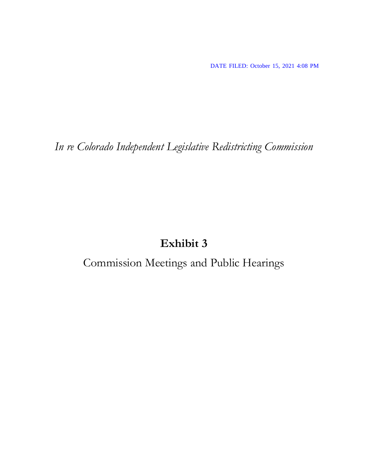DATE FILED: October 15, 2021 4:08 PM

*In re Colorado Independent Legislative Redistricting Commission*

## **Exhibit 3**

Commission Meetings and Public Hearings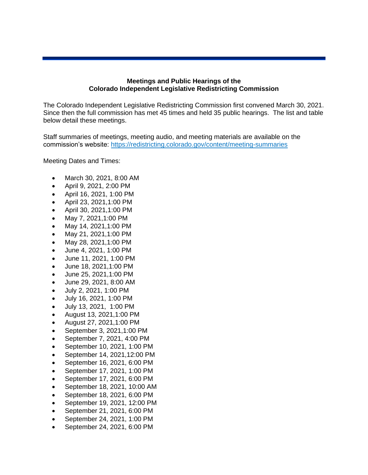## **Meetings and Public Hearings of the Colorado Independent Legislative Redistricting Commission**

The Colorado Independent Legislative Redistricting Commission first convened March 30, 2021. Since then the full commission has met 45 times and held 35 public hearings. The list and table below detail these meetings.

Staff summaries of meetings, meeting audio, and meeting materials are available on the commission's website: https://redistricting.colorado.gov/content/meeting-summaries

Meeting Dates and Times:

- March 30, 2021, 8:00 AM
- April 9, 2021, 2:00 PM
- April 16, 2021, 1:00 PM
- April 23, 2021,1:00 PM
- April 30, 2021,1:00 PM
- May 7, 2021,1:00 PM
- May 14, 2021,1:00 PM
- May 21, 2021,1:00 PM
- May 28, 2021,1:00 PM
- June 4, 2021, 1:00 PM
- June 11, 2021, 1:00 PM
- June 18, 2021,1:00 PM
- June 25, 2021,1:00 PM
- June 29, 2021, 8:00 AM
- July 2, 2021, 1:00 PM
- July 16, 2021, 1:00 PM
- July 13, 2021, 1:00 PM
- August 13, 2021,1:00 PM
- August 27, 2021,1:00 PM
- September 3, 2021,1:00 PM
- September 7, 2021, 4:00 PM
- September 10, 2021, 1:00 PM
- September 14, 2021,12:00 PM
- September 16, 2021, 6:00 PM
- September 17, 2021, 1:00 PM
- September 17, 2021, 6:00 PM
- September 18, 2021, 10:00 AM
- September 18, 2021, 6:00 PM
- September 19, 2021, 12:00 PM
- September 21, 2021, 6:00 PM
- September 24, 2021, 1:00 PM
- September 24, 2021, 6:00 PM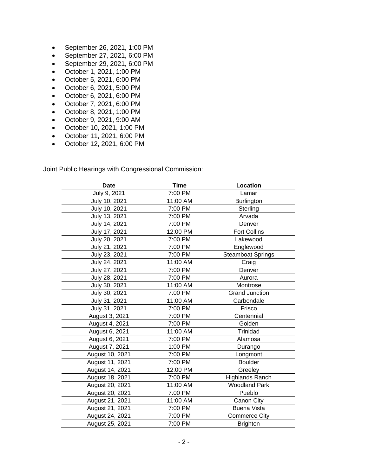- September 26, 2021, 1:00 PM
- September 27, 2021, 6:00 PM
- September 29, 2021, 6:00 PM
- October 1, 2021, 1:00 PM
- October 5, 2021, 6:00 PM
- October 6, 2021, 5:00 PM
- October 6, 2021, 6:00 PM
- October 7, 2021, 6:00 PM
- October 8, 2021, 1:00 PM
- October 9, 2021, 9:00 AM
- October 10, 2021, 1:00 PM
- October 11, 2021, 6:00 PM
- October 12, 2021, 6:00 PM

Joint Public Hearings with Congressional Commission:

| <b>Date</b>     | <b>Time</b> | Location                 |
|-----------------|-------------|--------------------------|
| July 9, 2021    | 7:00 PM     | Lamar                    |
| July 10, 2021   | 11:00 AM    | Burlington               |
| July 10, 2021   | 7:00 PM     | Sterling                 |
| July 13, 2021   | 7:00 PM     | Arvada                   |
| July 14, 2021   | 7:00 PM     | Denver                   |
| July 17, 2021   | 12:00 PM    | <b>Fort Collins</b>      |
| July 20, 2021   | 7:00 PM     | Lakewood                 |
| July 21, 2021   | 7:00 PM     | Englewood                |
| July 23, 2021   | 7:00 PM     | <b>Steamboat Springs</b> |
| July 24, 2021   | 11:00 AM    | Craig                    |
| July 27, 2021   | 7:00 PM     | Denver                   |
| July 28, 2021   | 7:00 PM     | Aurora                   |
| July 30, 2021   | 11:00 AM    | Montrose                 |
| July 30, 2021   | 7:00 PM     | <b>Grand Junction</b>    |
| July 31, 2021   | 11:00 AM    | Carbondale               |
| July 31, 2021   | 7:00 PM     | Frisco                   |
| August 3, 2021  | 7:00 PM     | Centennial               |
| August 4, 2021  | 7:00 PM     | Golden                   |
| August 6, 2021  | 11:00 AM    | Trinidad                 |
| August 6, 2021  | 7:00 PM     | Alamosa                  |
| August 7, 2021  | 1:00 PM     | Durango                  |
| August 10, 2021 | 7:00 PM     | Longmont                 |
| August 11, 2021 | 7:00 PM     | <b>Boulder</b>           |
| August 14, 2021 | 12:00 PM    | Greeley                  |
| August 18, 2021 | 7:00 PM     | <b>Highlands Ranch</b>   |
| August 20, 2021 | 11:00 AM    | <b>Woodland Park</b>     |
| August 20, 2021 | 7:00 PM     | Pueblo                   |
| August 21, 2021 | 11:00 AM    | Canon City               |
| August 21, 2021 | 7:00 PM     | <b>Buena Vista</b>       |
| August 24, 2021 | 7:00 PM     | <b>Commerce City</b>     |
| August 25, 2021 | 7:00 PM     | <b>Brighton</b>          |